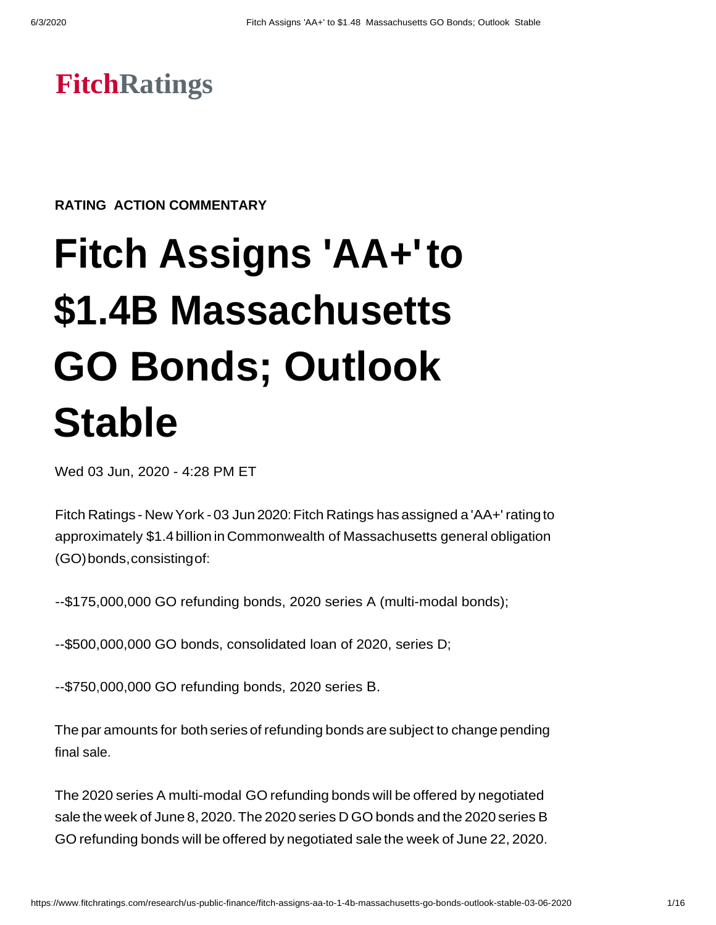# **FitchRatings**

**RATING ACTION COMMENTARY**

# **Fitch Assigns 'AA+'to \$1.4B Massachusetts GO Bonds; Outlook Stable**

Wed 03 Jun, 2020 - 4:28 PM ET

Fitch Ratings - New York - 03 Jun 2020:Fitch Ratings has assigned a 'AA+' ratingto approximately \$1.4billion in Commonwealth of Massachusetts general obligation (GO)bonds,consistingof:

--\$175,000,000 GO refunding bonds, 2020 series A (multi-modal bonds);

--\$500,000,000 GO bonds, consolidated loan of 2020, series D;

--\$750,000,000 GO refunding bonds, 2020 series B.

The par amounts for both series of refunding bonds are subject to change pending final sale.

The 2020 series A multi-modal GO refunding bonds will be offered by negotiated sale the week of June 8,2020.The 2020 series D GO bonds and the 2020 series B GO refunding bonds will be offered by negotiated sale the week of June 22, 2020.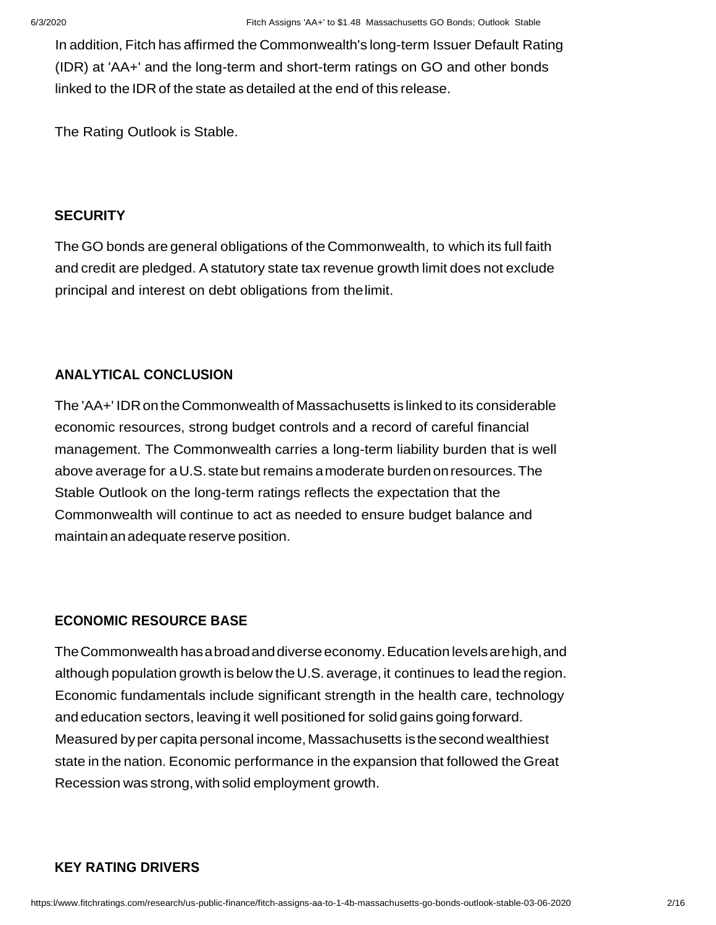In addition, Fitch has affirmed the Commonwealth's long-term Issuer Default Rating (IDR) at 'AA+' and the long-term and short-term ratings on GO and other bonds linked to the IDR of the state as detailed at the end of this release.

The Rating Outlook is Stable.

#### **SECURITY**

The GO bonds are general obligations of the Commonwealth, to which its full faith and credit are pledged. A statutory state tax revenue growth limit does not exclude principal and interest on debt obligations from thelimit.

# **ANALYTICAL CONCLUSION**

The 'AA+' IDRontheCommonwealth of Massachusetts is linked to its considerable economic resources, strong budget controls and a record of careful financial management. The Commonwealth carries a long-term liability burden that is well above average for aU.S.state but remains amoderate burden onresources.The Stable Outlook on the long-term ratings reflects the expectation that the Commonwealth will continue to act as needed to ensure budget balance and maintain anadequate reserve position.

#### **ECONOMIC RESOURCE BASE**

The Commonwealth has a broad and diverse economy. Education levels are high, and although population growth is below the U.S. average, it continues to lead the region. Economic fundamentals include significant strength in the health care, technology and education sectors, leaving it well positioned for solid gains goingforward. Measured byper capita personal income, Massachusetts isthesecond wealthiest state in the nation. Economic performance in the expansion that followed the Great Recession was strong,with solid employment growth.

### **KEY RATING DRIVERS**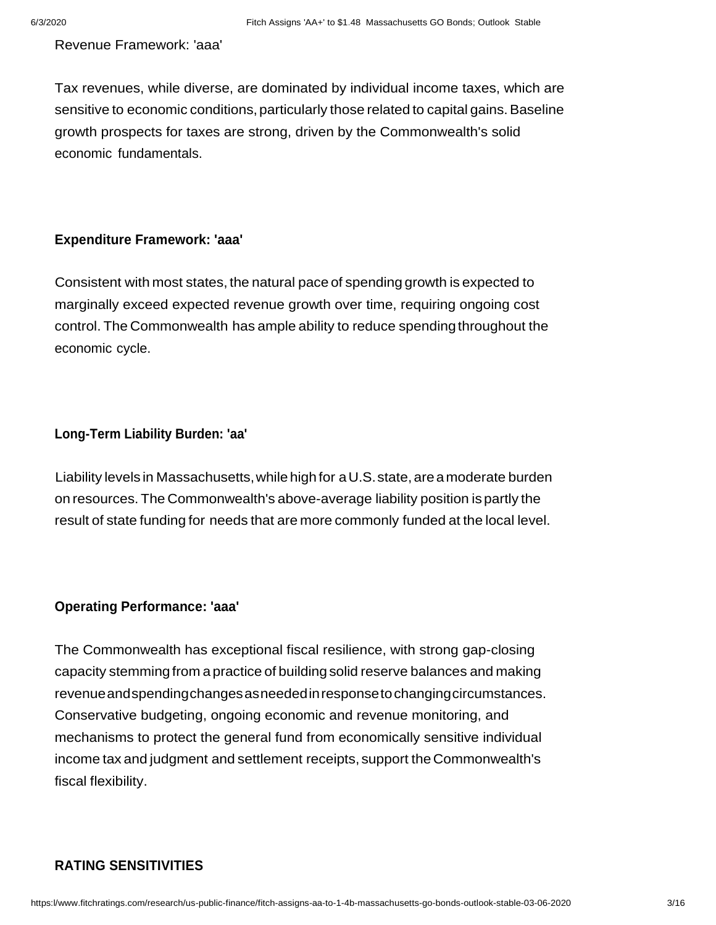Revenue Framework: 'aaa'

Tax revenues, while diverse, are dominated by individual income taxes, which are sensitive to economic conditions, particularly those related to capital gains. Baseline growth prospects for taxes are strong, driven by the Commonwealth's solid economic fundamentals.

# **Expenditure Framework: 'aaa'**

Consistent with most states, the natural pace of spending growth is expected to marginally exceed expected revenue growth over time, requiring ongoing cost control. The Commonwealth has ample ability to reduce spending throughout the economic cycle.

#### **Long-Term Liability Burden: 'aa'**

Liability levels in Massachusetts,while high for aU.S.state, are amoderate burden on resources. The Commonwealth's above-average liability position ispartly the result of state funding for needs that are more commonly funded at the local level.

#### **Operating Performance: 'aaa'**

The Commonwealth has exceptional fiscal resilience, with strong gap-closing capacity stemming from a practice of buildingsolid reserve balances and making revenueandspendingchangesasneededinresponsetochangingcircumstances. Conservative budgeting, ongoing economic and revenue monitoring, and mechanisms to protect the general fund from economically sensitive individual income tax and judgment and settlement receipts, support the Commonwealth's fiscal flexibility.

# **RATING SENSITIVITIES**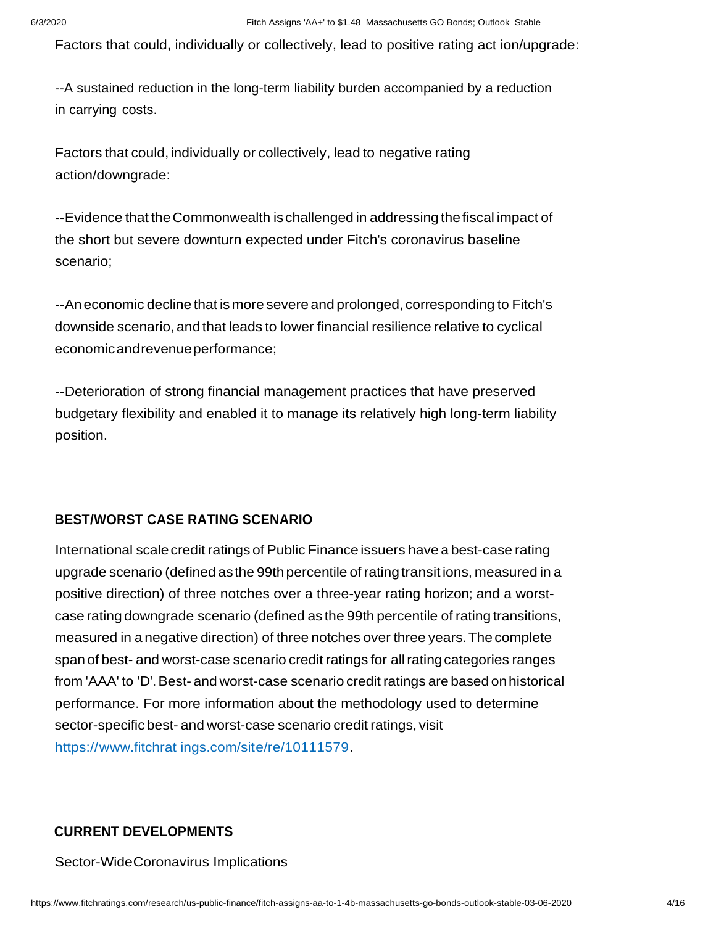Factors that could, individually or collectively, lead to positive rating act ion/upgrade:

--A sustained reduction in the long-term liability burden accompanied by a reduction in carrying costs.

Factors that could, individually or collectively, lead to negative rating action/downgrade:

--Evidence that theCommonwealth ischallenged in addressing thefiscal impact of the short but severe downturn expected under Fitch's coronavirus baseline scenario;

--Aneconomic decline that ismore severe and prolonged, corresponding to Fitch's downside scenario, and that leads to lower financial resilience relative to cyclical economicandrevenueperformance;

--Deterioration of strong financial management practices that have preserved budgetary flexibility and enabled it to manage its relatively high long-term liability position.

### **BEST/WORST CASE RATING SCENARIO**

International scale credit ratings of Public Finance issuers have a best-case rating upgrade scenario (defined asthe 99th percentile of ratingtransit ions, measured in a positive direction) of three notches over a three-year rating horizon; and a worstcase rating downgrade scenario (defined as the 99th percentile of rating transitions, measured in a negative direction) of three notches over three years.The complete span of best- and worst-case scenario credit ratings for allratingcategories ranges from 'AAA' to 'D'.Best- and worst-case scenario credit ratings are based onhistorical performance. For more information about the methodology used to determine sector-specific best- and worst-case scenario credit ratings, visit https://www.fitchrat ings.com/site/re/10111579.

#### **CURRENT DEVELOPMENTS**

Sector-WideCoronavirus Implications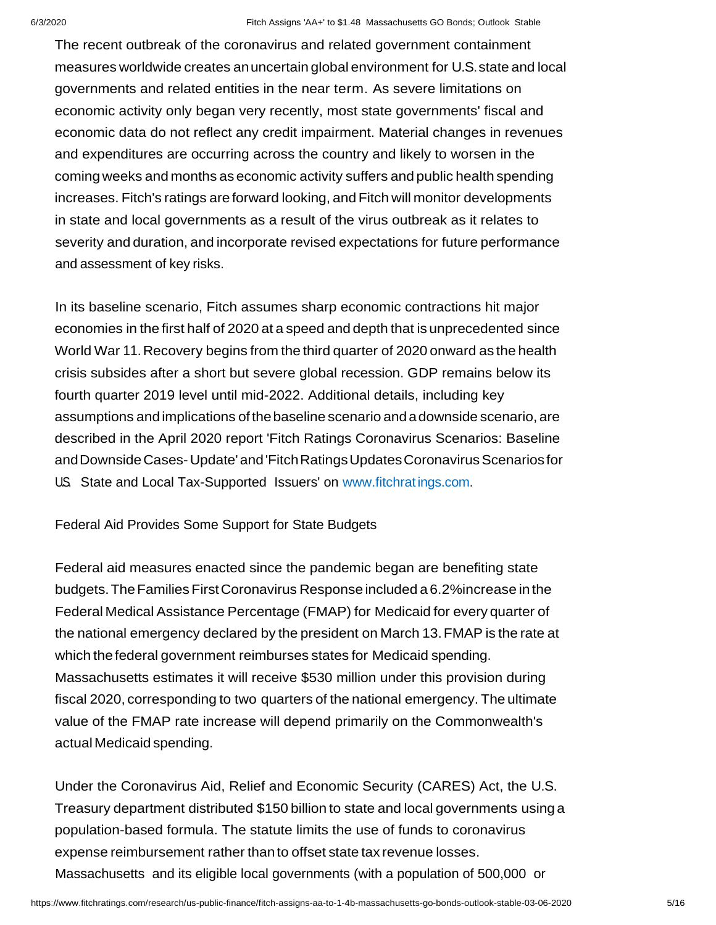The recent outbreak of the coronavirus and related government containment measures worldwide creates anuncertain global environment for U.S.state and local governments and related entities in the near term. As severe limitations on economic activity only began very recently, most state governments' fiscal and economic data do not reflect any credit impairment. Material changes in revenues and expenditures are occurring across the country and likely to worsen in the coming weeks and months aseconomic activity suffers and public health spending increases. Fitch's ratings are forward looking, and Fitch will monitor developments in state and local governments as a result of the virus outbreak as it relates to severity and duration, and incorporate revised expectations for future performance and assessment of key risks.

In its baseline scenario, Fitch assumes sharp economic contractions hit major economies in the first half of 2020 at a speed and depth that is unprecedented since World War 11.Recovery begins from the third quarter of 2020 onward as the health crisis subsides after a short but severe global recession. GDP remains below its fourth quarter 2019 level until mid-2022. Additional details, including key assumptions andimplications ofthebaseline scenario andadownside scenario, are described in the April 2020 report 'Fitch Ratings Coronavirus Scenarios: Baseline andDownsideCases-Update' and'FitchRatingsUpdatesCoronavirusScenarios for U.S. State and Local Tax-Supported Issuers' on www.fitchratings.com.

Federal Aid Provides Some Support for State Budgets

Federal aid measures enacted since the pandemic began are benefiting state budgets. The Families First Coronavirus Response included a 6.2% increase in the Federal Medical Assistance Percentage (FMAP) for Medicaid for every quarter of the national emergency declared by the president on March 13.FMAP is the rate at which the federal government reimburses states for Medicaid spending. Massachusetts estimates it will receive \$530 million under this provision during fiscal 2020, corresponding to two quarters of the national emergency. The ultimate value of the FMAP rate increase will depend primarily on the Commonwealth's actual Medicaid spending.

Under the Coronavirus Aid, Relief and Economic Security (CARES) Act, the U.S. Treasury department distributed \$150 billion to state and local governments using a population-based formula. The statute limits the use of funds to coronavirus expense reimbursement rather than to offset state tax revenue losses. Massachusetts and its eligible local governments (with a population of 500,000 or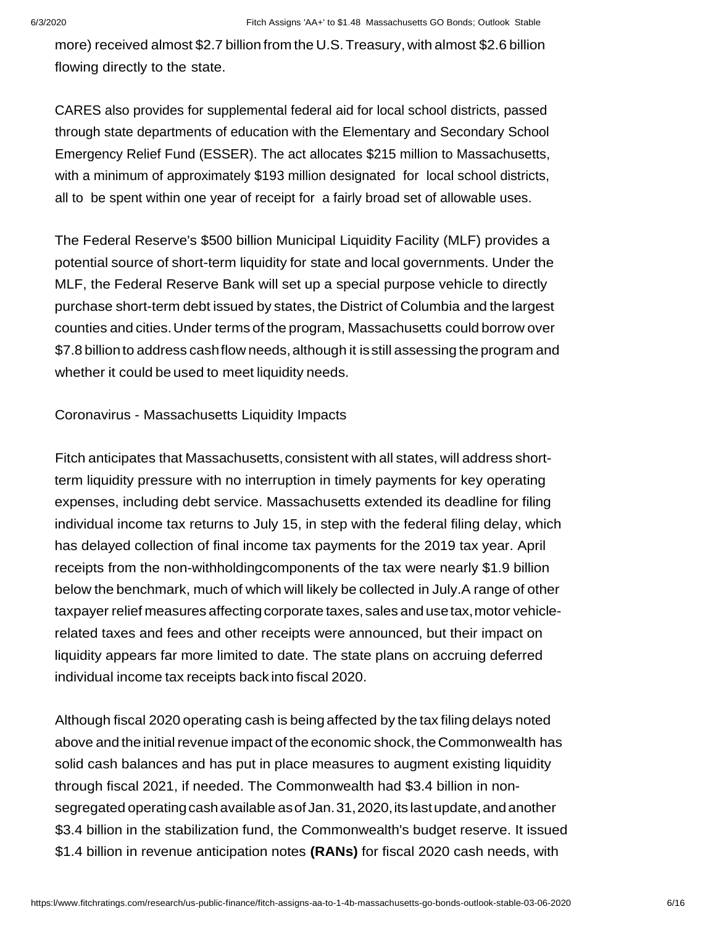more) received almost \$2.7 billion from the U.S.Treasury, with almost \$2.6 billion flowing directly to the state.

CARES also provides for supplemental federal aid for local school districts, passed through state departments of education with the Elementary and Secondary School Emergency Relief Fund (ESSER). The act allocates \$215 million to Massachusetts, with a minimum of approximately \$193 million designated for local school districts, all to be spent within one year of receipt for a fairly broad set of allowable uses.

The Federal Reserve's \$500 billion Municipal Liquidity Facility (MLF) provides a potential source of short-term liquidity for state and local governments. Under the MLF, the Federal Reserve Bank will set up a special purpose vehicle to directly purchase short-term debt issued by states, the District of Columbia and the largest counties and cities.Under terms of the program, Massachusetts could borrow over \$7.8 billion to address cashflow needs,although it isstill assessing the program and whether it could be used to meet liquidity needs.

Coronavirus - Massachusetts Liquidity Impacts

Fitch anticipates that Massachusetts, consistent with all states, will address shortterm liquidity pressure with no interruption in timely payments for key operating expenses, including debt service. Massachusetts extended its deadline for filing individual income tax returns to July 15, in step with the federal filing delay, which has delayed collection of final income tax payments for the 2019 tax year. April receipts from the non-withholdingcomponents of the tax were nearly \$1.9 billion below the benchmark, much of which will likely be collected in July.A range of other taxpayer relief measures affecting corporate taxes, sales and use tax, motor vehiclerelated taxes and fees and other receipts were announced, but their impact on liquidity appears far more limited to date. The state plans on accruing deferred individual income tax receipts back into fiscal 2020.

Although fiscal 2020 operating cash is being affected by the tax filing delays noted above and the initial revenue impact of the economic shock, the Commonwealth has solid cash balances and has put in place measures to augment existing liquidity through fiscal 2021, if needed. The Commonwealth had \$3.4 billion in nonsegregated operating cash available as of Jan. 31, 2020, its last update, and another \$3.4 billion in the stabilization fund, the Commonwealth's budget reserve. It issued \$1.4 billion in revenue anticipation notes **(RANs)** for fiscal 2020 cash needs, with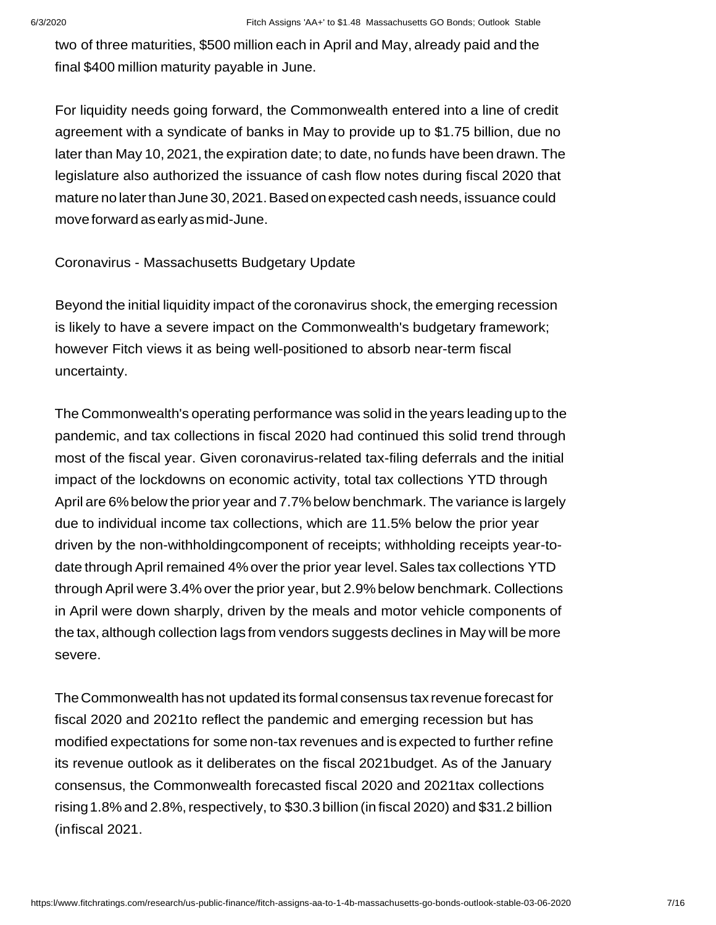two of three maturities, \$500 million each in April and May, already paid and the final \$400 million maturity payable in June.

For liquidity needs going forward, the Commonwealth entered into a line of credit agreement with a syndicate of banks in May to provide up to \$1.75 billion, due no later than May 10, 2021, the expiration date; to date, no funds have been drawn. The legislature also authorized the issuance of cash flow notes during fiscal 2020 that mature no laterthanJune 30,2021.Basedonexpected cash needs, issuance could moveforward asearlyasmid-June.

#### Coronavirus - Massachusetts Budgetary Update

Beyond the initial liquidity impact of the coronavirus shock, the emerging recession is likely to have a severe impact on the Commonwealth's budgetary framework; however Fitch views it as being well-positioned to absorb near-term fiscal uncertainty.

The Commonwealth's operating performance was solid in the years leadingup to the pandemic, and tax collections in fiscal 2020 had continued this solid trend through most of the fiscal year. Given coronavirus-related tax-filing deferrals and the initial impact of the lockdowns on economic activity, total tax collections YTD through April are 6%below the prior year and 7.7%below benchmark. The variance is largely due to individual income tax collections, which are 11.5% below the prior year driven by the non-withholdingcomponent of receipts; withholding receipts year-todate through April remained 4%over the prior year level.Sales tax collections YTD through April were 3.4% over the prior year, but 2.9%below benchmark. Collections in April were down sharply, driven by the meals and motor vehicle components of the tax, although collection lags from vendors suggests declines in May will be more severe.

TheCommonwealth hasnot updated its formal consensus tax revenue forecast for fiscal 2020 and 2021to reflect the pandemic and emerging recession but has modified expectations for some non-tax revenues and is expected to further refine its revenue outlook as it deliberates on the fiscal 2021budget. As of the January consensus, the Commonwealth forecasted fiscal 2020 and 2021tax collections rising 1.8% and 2.8%, respectively, to \$30.3 billion (in fiscal 2020) and \$31.2 billion (infiscal 2021.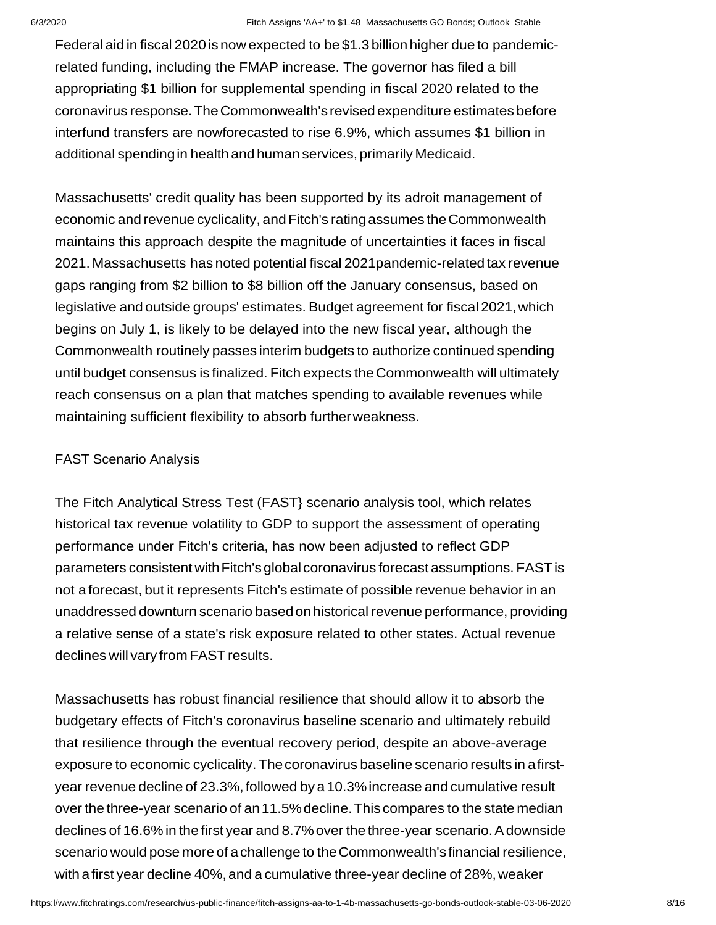Federal aid in fiscal 2020 is now expected to be \$1.3 billion higher due to pandemicrelated funding, including the FMAP increase. The governor has filed a bill appropriating \$1 billion for supplemental spending in fiscal 2020 related to the coronavirus response.TheCommonwealth's revised expenditure estimates before interfund transfers are nowforecasted to rise 6.9%, which assumes \$1 billion in additional spendingin health and human services, primarily Medicaid.

Massachusetts' credit quality has been supported by its adroit management of economic and revenue cyclicality, and Fitch's rating assumes the Commonwealth maintains this approach despite the magnitude of uncertainties it faces in fiscal 2021. Massachusetts has noted potential fiscal 2021pandemic-related tax revenue gaps ranging from \$2 billion to \$8 billion off the January consensus, based on legislative and outside groups' estimates. Budget agreement for fiscal 2021,which begins on July 1, is likely to be delayed into the new fiscal year, although the Commonwealth routinely passes interim budgets to authorize continued spending until budget consensus is finalized. Fitch expects the Commonwealth will ultimately reach consensus on a plan that matches spending to available revenues while maintaining sufficient flexibility to absorb furtherweakness.

#### FAST Scenario Analysis

The Fitch Analytical Stress Test (FAST} scenario analysis tool, which relates historical tax revenue volatility to GDP to support the assessment of operating performance under Fitch's criteria, has now been adjusted to reflect GDP parameters consistent with Fitch's global coronavirus forecast assumptions. FAST is not a forecast, but it represents Fitch's estimate of possible revenue behavior in an unaddressed downturn scenario based onhistorical revenue performance, providing a relative sense of a state's risk exposure related to other states. Actual revenue declines will vary from FAST results.

Massachusetts has robust financial resilience that should allow it to absorb the budgetary effects of Fitch's coronavirus baseline scenario and ultimately rebuild that resilience through the eventual recovery period, despite an above-average exposure to economic cyclicality.Thecoronavirus baseline scenario results in afirstyear revenue decline of 23.3%, followed by a 10.3% increase and cumulative result over the three-year scenario of an11.5%decline.This compares to the state median declines of 16.6% in the first year and 8.7% over the three-year scenario. A downside scenario would pose more of achallenge to theCommonwealth's financial resilience, with a first year decline 40%, and a cumulative three-year decline of 28%, weaker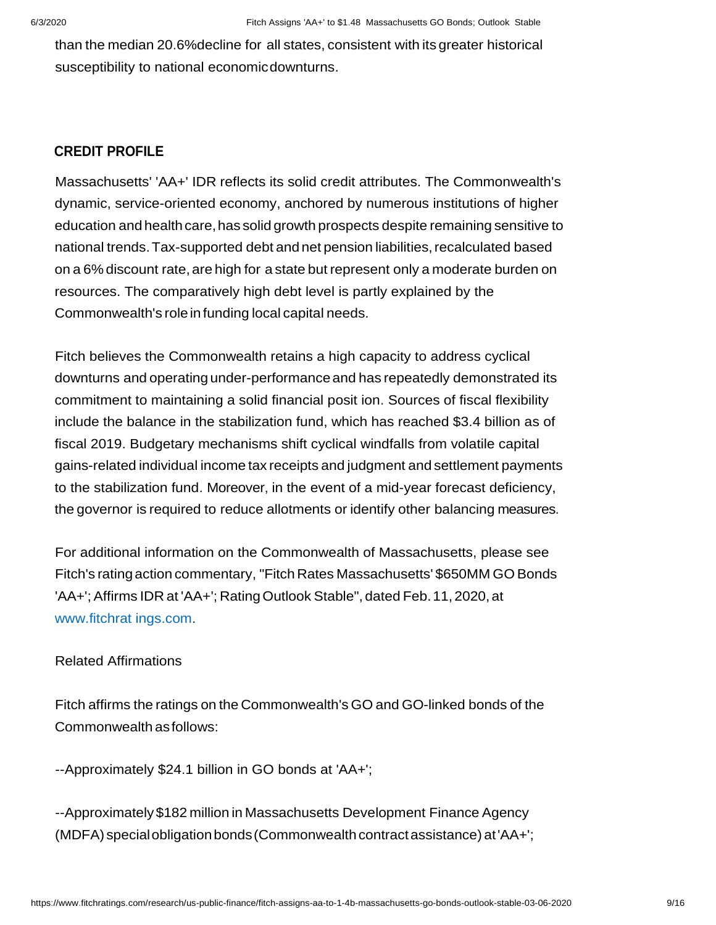than the median 20.6%decline for all states, consistent with its greater historical susceptibility to national economicdownturns.

# **CREDIT PROFILE**

Massachusetts' 'AA+' IDR reflects its solid credit attributes. The Commonwealth's dynamic, service-oriented economy, anchored by numerous institutions of higher education and health care, has solid growth prospects despite remaining sensitive to national trends.Tax-supported debt and net pension liabilities,recalculated based on a 6% discount rate, are high for a state but represent only a moderate burden on resources. The comparatively high debt level is partly explained by the Commonwealth's role in funding local capital needs.

Fitch believes the Commonwealth retains a high capacity to address cyclical downturns and operating under-performance and has repeatedly demonstrated its commitment to maintaining a solid financial posit ion. Sources of fiscal flexibility include the balance in the stabilization fund, which has reached \$3.4 billion as of fiscal 2019. Budgetary mechanisms shift cyclical windfalls from volatile capital gains-related individual income tax receipts and judgment and settlement payments to the stabilization fund. Moreover, in the event of a mid-year forecast deficiency, the governor is required to reduce allotments or identify other balancing measures.

For additional information on the Commonwealth of Massachusetts, please see Fitch's rating action commentary, "Fitch Rates Massachusetts' \$650MM GO Bonds 'AA+';Affirms IDR at 'AA+'; RatingOutlook Stable", dated Feb.11, 2020, at www.fitchrat ings.com.

#### Related Affirmations

Fitch affirms the ratings on the Commonwealth's GO and GO-linked bonds of the Commonwealth asfollows:

--Approximately \$24.1 billion in GO bonds at 'AA+';

--Approximately\$182 million in Massachusetts Development Finance Agency (MDFA) special obligation bonds (Commonwealth contract assistance) at 'AA+';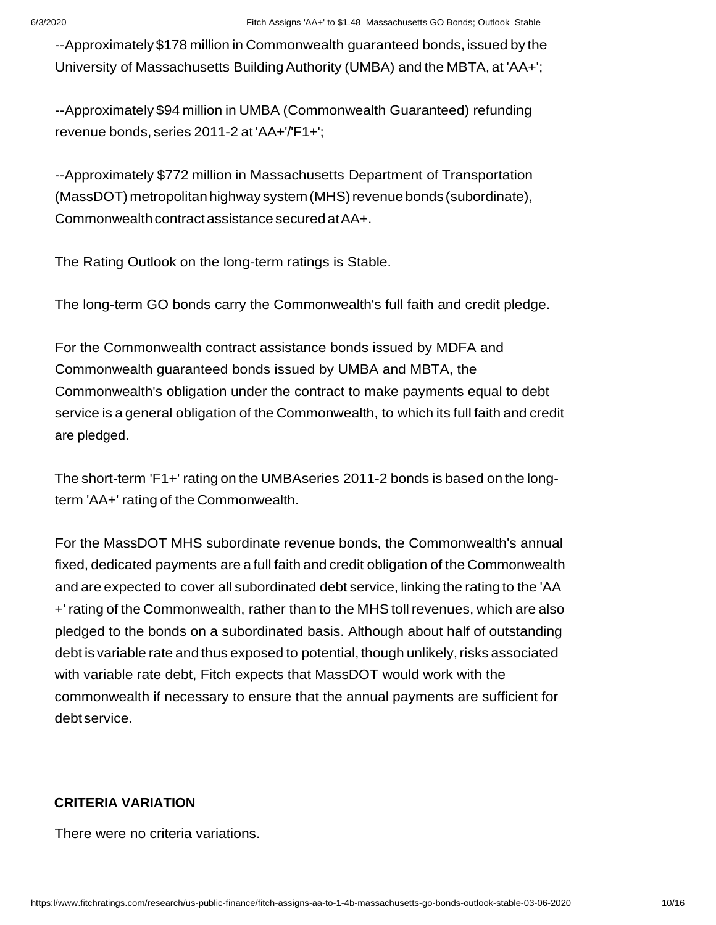--Approximately\$178 million in Commonwealth guaranteed bonds, issued by the University of Massachusetts BuildingAuthority (UMBA) and the MBTA, at 'AA+';

--Approximately \$94 million in UMBA (Commonwealth Guaranteed) refunding revenue bonds, series 2011-2 at 'AA+'/'F1+';

--Approximately \$772 million in Massachusetts Department of Transportation (MassDOT) metropolitan highway system (MHS) revenue bonds (subordinate), Commonwealth contractassistance securedatAA+.

The Rating Outlook on the long-term ratings is Stable.

The long-term GO bonds carry the Commonwealth's full faith and credit pledge.

For the Commonwealth contract assistance bonds issued by MDFA and Commonwealth guaranteed bonds issued by UMBA and MBTA, the Commonwealth's obligation under the contract to make payments equal to debt service is a general obligation of the Commonwealth, to which its full faith and credit are pledged.

The short-term 'F1+' rating on the UMBAseries 2011-2 bonds is based on the longterm 'AA+' rating of the Commonwealth.

For the MassDOT MHS subordinate revenue bonds, the Commonwealth's annual fixed, dedicated payments are a full faith and credit obligation of the Commonwealth and are expected to cover all subordinated debt service, linking the rating to the 'AA +' rating of the Commonwealth, rather than to the MHStoll revenues, which are also pledged to the bonds on a subordinated basis. Although about half of outstanding debt is variable rate and thus exposed to potential, though unlikely, risks associated with variable rate debt, Fitch expects that MassDOT would work with the commonwealth if necessary to ensure that the annual payments are sufficient for debt service.

#### **CRITERIA VARIATION**

There were no criteria variations.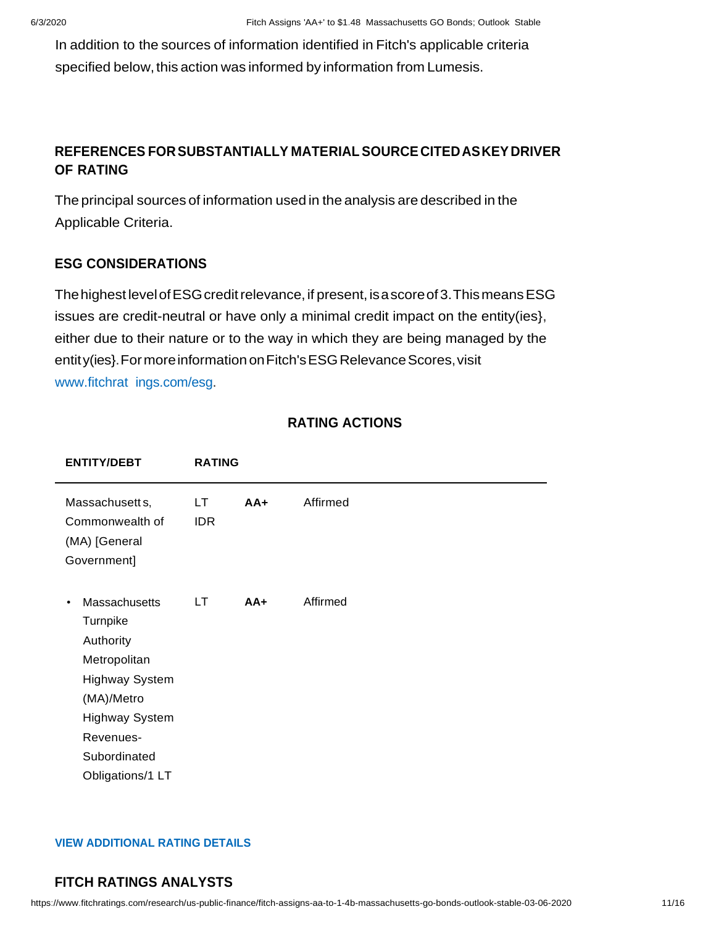In addition to the sources of information identified in Fitch's applicable criteria specified below, this action was informed by information from Lumesis.

# **REFERENCES FORSUBSTANTIALLY MATERIALSOURCECITEDASKEY DRIVER OF RATING**

The principal sources of information used in the analysis are described in the Applicable Criteria.

# **ESG CONSIDERATIONS**

The highest level of ESG credit relevance, if present, is a score of 3. This means ESG issues are credit-neutral or have only a minimal credit impact on the entity(ies}, either due to their nature or to the way in which they are being managed by the entity(ies}. For more information on Fitch's ESG Relevance Scores, visit www.fitchrat ings.com/esg.

| <b>ENTITY/DEBT</b>                                                                                                                                                                   | <b>RATING</b>     |       |          |
|--------------------------------------------------------------------------------------------------------------------------------------------------------------------------------------|-------------------|-------|----------|
| Massachusett s,<br>Commonwealth of<br>(MA) [General<br>Government]                                                                                                                   | LT.<br><b>IDR</b> | $AA+$ | Affirmed |
| Massachusetts<br>$\bullet$<br>Turnpike<br>Authority<br>Metropolitan<br><b>Highway System</b><br>(MA)/Metro<br><b>Highway System</b><br>Revenues-<br>Subordinated<br>Obligations/1 LT | LT.               | $AA+$ | Affirmed |

# **RATING ACTIONS**

#### **VIEW ADDITIONAL RATING DETAILS**

# **FITCH RATINGS ANALYSTS**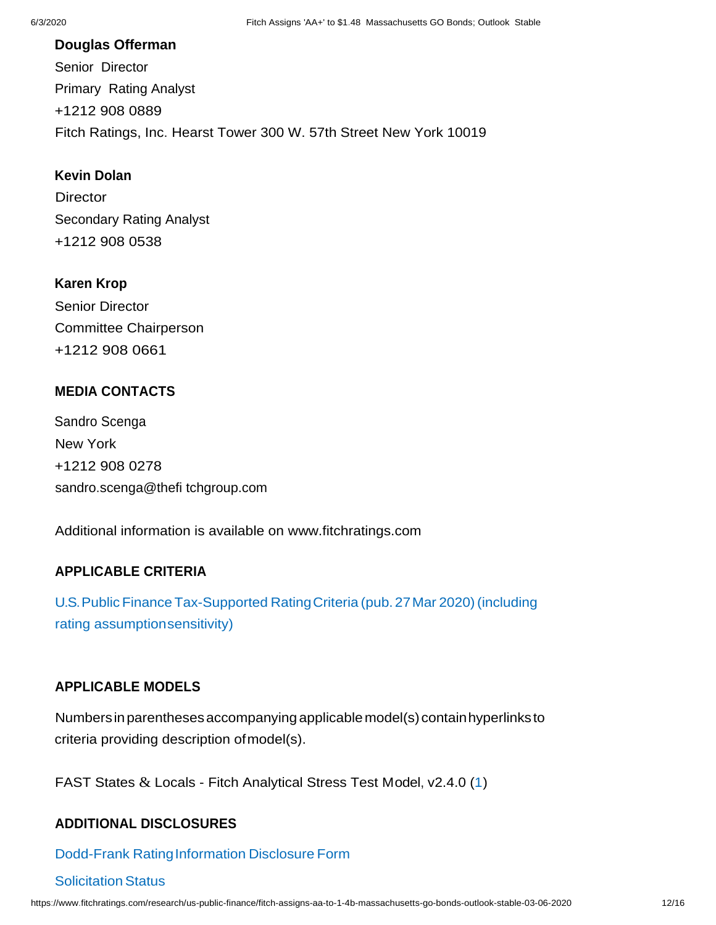#### **Douglas Offerman**

Senior Director Primary Rating Analyst +1212 908 0889 Fitch Ratings, Inc. Hearst Tower 300 W. 57th Street New York 10019

## **Kevin Dolan**

**Director** Secondary Rating Analyst +1212 908 0538

#### **Karen Krop**

Senior Director Committee Chairperson +1212 908 0661

# **MEDIA CONTACTS**

Sandro Scenga New York +1212 908 0278 sandro.scenga@thefi tchgroup.com

Additional information is available on [www.fitchratings.com](http://www.fitchratings.com/)

#### **APPLICABLE CRITERIA**

U.S. Public Finance Tax-Supported Rating Criteria (pub. 27 Mar 2020) (including rating assumptionsensitivity)

#### **APPLICABLE MODELS**

Numbersinparenthesesaccompanying applicablemodel(s) containhyperlinksto criteria providing description ofmodel(s).

FAST States & Locals - Fitch Analytical Stress Test Model, v2.4.0 (1)

# **ADDITIONAL DISCLOSURES**

#### Dodd-Frank Rating Information Disclosure Form

#### **Solicitation Status**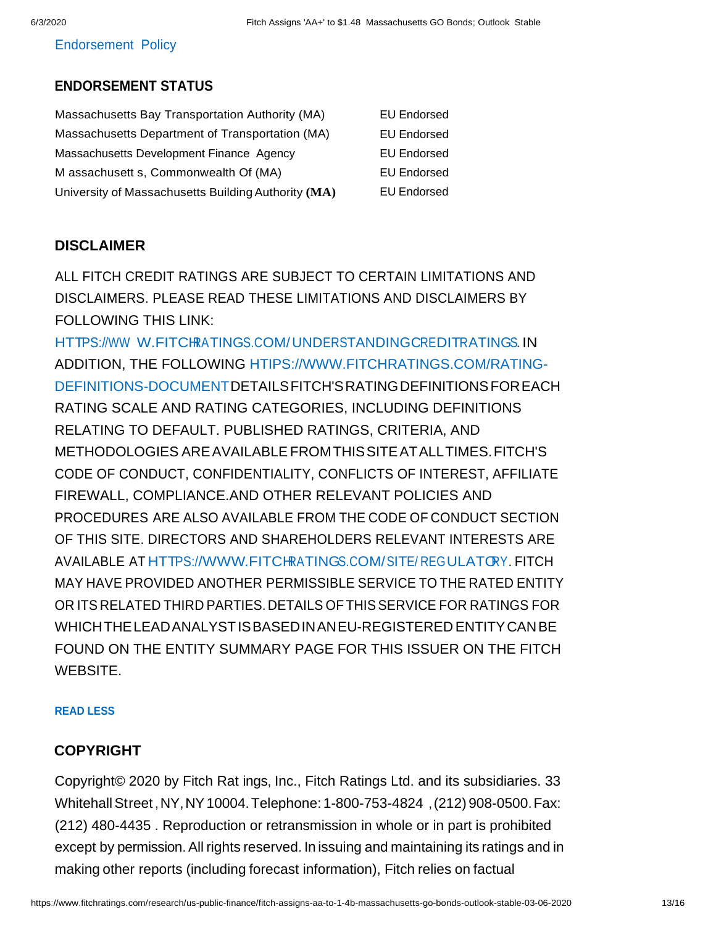#### Endorsement Policy

# **ENDORSEMENT STATUS**

| Massachusetts Bay Transportation Authority (MA)     | <b>EU Endorsed</b> |
|-----------------------------------------------------|--------------------|
| Massachusetts Department of Transportation (MA)     | <b>EU Endorsed</b> |
| Massachusetts Development Finance Agency            | <b>EU Endorsed</b> |
| M assachusett s, Commonwealth Of (MA)               | <b>EU Endorsed</b> |
| University of Massachusetts Building Authority (MA) | <b>EU Endorsed</b> |

### **DISCLAIMER**

ALL FITCH CREDIT RATINGS ARE SUBJECT TO CERTAIN LIMITATIONS AND DISCLAIMERS. PLEASE READ THESE LIMITATIONS AND DISCLAIMERS BY FOLLOWING THIS LINK:

HTTPS://WW W.FITCHRATINGS.COM/UNDERSTANDINGCREDITRATINGS. IN ADDITION, THE FOLLOWING [HTIPS://WWW.FITCHRATINGS.COM/RATING-](http://www.fitchratings.com/RATING)DEFINITIONS-DOCUMENTDETAILSFITCH'SRATINGDEFINITIONSFOREACH RATING SCALE AND RATING CATEGORIES, INCLUDING DEFINITIONS RELATING TO DEFAULT. PUBLISHED RATINGS, CRITERIA, AND METHODOLOGIES AREAVAILABLEFROMTHISSITEATALLTIMES.FITCH'S CODE OF CONDUCT, CONFIDENTIALITY, CONFLICTS OF INTEREST, AFFILIATE FIREWALL, COMPLIANCE.AND OTHER RELEVANT POLICIES AND PROCEDURES ARE ALSO AVAILABLE FROM THE CODE OF CONDUCT SECTION OF THIS SITE. DIRECTORS AND SHAREHOLDERS RELEVANT INTERESTS ARE AVAILABLE AT HTTPS:[//WWW.FITCHRATINGS.COM/S](http://www.fitchratings.com/)ITE/ REGULATORY. FITCH MAY HAVE PROVIDED ANOTHER PERMISSIBLE SERVICE TO THE RATED ENTITY OR ITS RELATED THIRD PARTIES. DETAILS OFTHISSERVICE FOR RATINGS FOR WHICHTHELEADANALYSTISBASEDINANEU-REGISTERED ENTITYCANBE FOUND ON THE ENTITY SUMMARY PAGE FOR THIS ISSUER ON THE FITCH WEBSITE.

#### **READ LESS**

### **COPYRIGHT**

Copyright© 2020 by Fitch Rat ings, Inc., Fitch Ratings Ltd. and its subsidiaries. 33 WhitehallStreet ,NY,NY10004.Telephone: 1-800-753-4824 ,(212) 908-0500.Fax: (212) 480-4435 . Reproduction or retransmission in whole or in part is prohibited except by permission.All rights reserved. In issuing and maintaining its ratings and in making other reports (including forecast information), Fitch relies on factual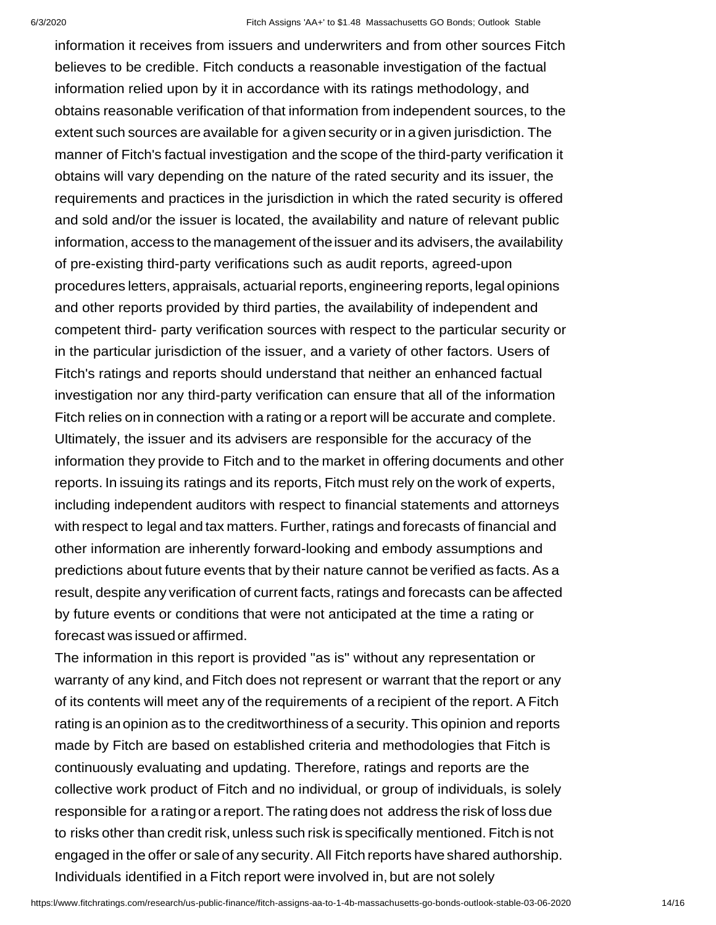information it receives from issuers and underwriters and from other sources Fitch believes to be credible. Fitch conducts a reasonable investigation of the factual information relied upon by it in accordance with its ratings methodology, and obtains reasonable verification of that information from independent sources, to the extent such sources are available for a given security or in a given jurisdiction. The manner of Fitch's factual investigation and the scope of the third-party verification it obtains will vary depending on the nature of the rated security and its issuer, the requirements and practices in the jurisdiction in which the rated security is offered and sold and/or the issuer is located, the availability and nature of relevant public information, access to the management of the issuer and its advisers, the availability of pre-existing third-party verifications such as audit reports, agreed-upon procedures letters, appraisals, actuarial reports,engineering reports,legal opinions and other reports provided by third parties, the availability of independent and competent third- party verification sources with respect to the particular security or in the particular jurisdiction of the issuer, and a variety of other factors. Users of Fitch's ratings and reports should understand that neither an enhanced factual investigation nor any third-party verification can ensure that all of the information Fitch relies on in connection with a rating or a report will be accurate and complete. Ultimately, the issuer and its advisers are responsible for the accuracy of the information they provide to Fitch and to the market in offering documents and other reports. In issuing its ratings and its reports, Fitch must rely on the work of experts, including independent auditors with respect to financial statements and attorneys with respect to legal and tax matters. Further, ratings and forecasts of financial and other information are inherently forward-looking and embody assumptions and predictions about future events that by their nature cannot be verified as facts. As a result, despite any verification of current facts, ratings and forecasts can be affected by future events or conditions that were not anticipated at the time a rating or forecast was issued or affirmed.

The information in this report is provided "as is" without any representation or warranty of any kind, and Fitch does not represent or warrant that the report or any of its contents will meet any of the requirements of a recipient of the report. A Fitch rating is an opinion as to the creditworthiness of a security. This opinion and reports made by Fitch are based on established criteria and methodologies that Fitch is continuously evaluating and updating. Therefore, ratings and reports are the collective work product of Fitch and no individual, or group of individuals, is solely responsible for a rating or a report. The rating does not address the risk of loss due to risks other than credit risk, unless such risk is specifically mentioned. Fitch is not engaged in the offer or sale of any security.All Fitch reports have shared authorship. Individuals identified in a Fitch report were involved in, but are not solely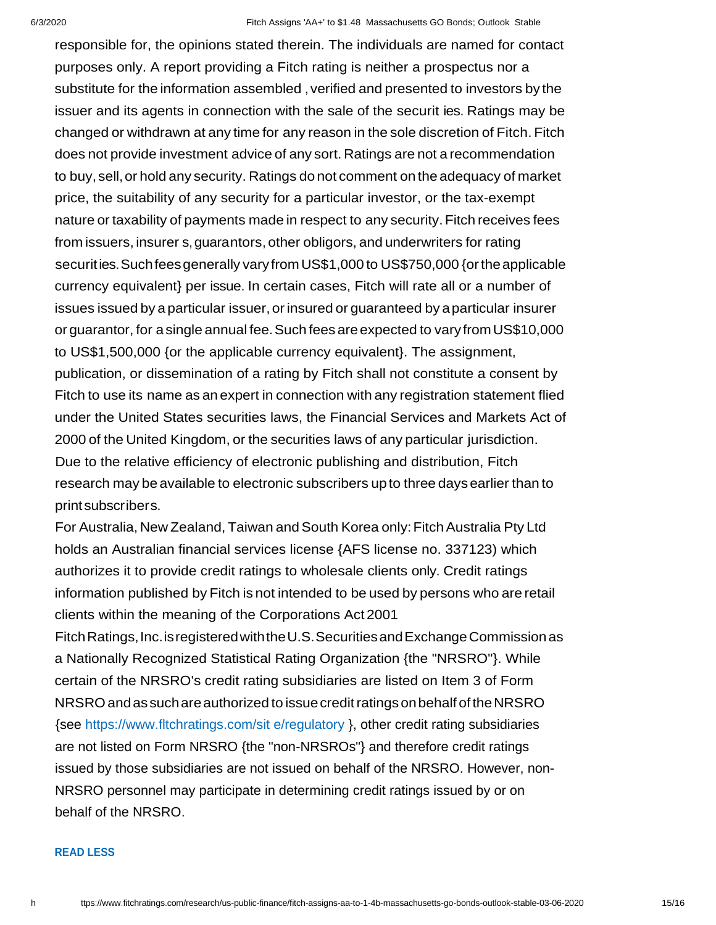responsible for, the opinions stated therein. The individuals are named for contact purposes only. A report providing a Fitch rating is neither a prospectus nor a substitute for the information assembled, verified and presented to investors by the issuer and its agents in connection with the sale of the securit ies. Ratings may be changed or withdrawn at any time for any reason in the sole discretion of Fitch. Fitch does not provide investment advice of any sort. Ratings are not a recommendation to buy, sell, or hold any security. Ratings do not comment on the adequacy of market price, the suitability of any security for a particular investor, or the tax-exempt nature or taxability of payments made in respect to any security.Fitch receives fees from issuers, insurer s,guarantors, other obligors, and underwriters for rating securities.Suchfeesgenerally vary fromUS\$1,000 to US\$750,000 {ortheapplicable currency equivalent} per issue. In certain cases, Fitch will rate all or a number of issues issued by a particular issuer, or insured or guaranteed by a particular insurer or guarantor, for a single annual fee.Such fees areexpected to vary fromUS\$10,000 to US\$1,500,000 {or the applicable currency equivalent}. The assignment, publication, or dissemination of a rating by Fitch shall not constitute a consent by Fitch to use its name as an expert in connection with any registration statement flied under the United States securities laws, the Financial Services and Markets Act of 2000 of the United Kingdom, or the securities laws of any particular jurisdiction. Due to the relative efficiency of electronic publishing and distribution, Fitch research may be available to electronic subscribers upto three daysearlier than to printsubscribers.

For Australia, New Zealand, Taiwan and South Korea only: Fitch Australia Pty Ltd holds an Australian financial services license {AFS license no. 337123) which authorizes it to provide credit ratings to wholesale clients only. Credit ratings information published by Fitch is not intended to be used by persons who are retail clients within the meaning of the Corporations Act 2001

FitchRatings,Inc.isregisteredwiththeU.S.SecuritiesandExchangeCommissionas a Nationally Recognized Statistical Rating Organization {the "NRSRO"}. While certain of the NRSRO's credit rating subsidiaries are listed on Item 3 of Form NRSRO and as such are authorized to issue credit ratings on behalf of the NRSRO {see https://www.fltchratings.com/sit e/regulatory }, other credit rating subsidiaries are not listed on Form NRSRO {the "non-NRSROs"} and therefore credit ratings issued by those subsidiaries are not issued on behalf of the NRSRO. However, non-NRSRO personnel may participate in determining credit ratings issued by or on behalf of the NRSRO.

#### **READ LESS**